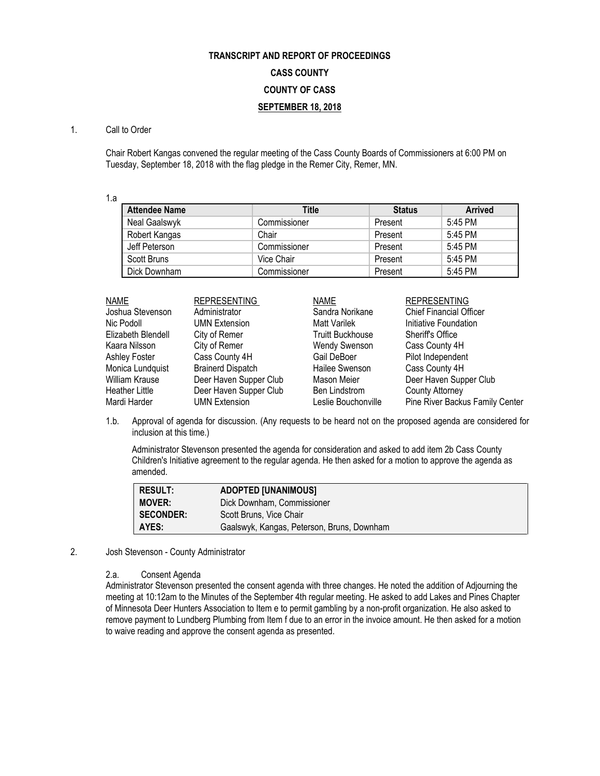## **TRANSCRIPT AND REPORT OF PROCEEDINGS CASS COUNTY COUNTY OF CASS SEPTEMBER 18, 2018**

## 1. Call to Order

Chair Robert Kangas convened the regular meeting of the Cass County Boards of Commissioners at 6:00 PM on Tuesday, September 18, 2018 with the flag pledge in the Remer City, Remer, MN.

1.a

| <b>Attendee Name</b> | Title        | <b>Status</b> | <b>Arrived</b> |
|----------------------|--------------|---------------|----------------|
| Neal Gaalswyk        | Commissioner | Present       | 5:45 PM        |
| Robert Kangas        | Chair        | Present       | 5:45 PM        |
| Jeff Peterson        | Commissioner | Present       | 5:45 PM        |
| Scott Bruns          | Vice Chair   | Present       | 5:45 PM        |
| Dick Downham         | Commissioner | Present       | 5:45 PM        |

| <b>NAME</b>           | <b>REPRESENTING</b>      | <b>NAME</b>             | <b>REPRESENTING</b>             |
|-----------------------|--------------------------|-------------------------|---------------------------------|
| Joshua Stevenson      | Administrator            | Sandra Norikane         | <b>Chief Financial Officer</b>  |
| Nic Podoll            | <b>UMN Extension</b>     | <b>Matt Varilek</b>     | Initiative Foundation           |
| Elizabeth Blendell    | City of Remer            | <b>Truitt Buckhouse</b> | <b>Sheriff's Office</b>         |
| Kaara Nilsson         | City of Remer            | <b>Wendy Swenson</b>    | Cass County 4H                  |
| Ashley Foster         | Cass County 4H           | Gail DeBoer             | Pilot Independent               |
| Monica Lundquist      | <b>Brainerd Dispatch</b> | Hailee Swenson          | Cass County 4H                  |
| <b>William Krause</b> | Deer Haven Supper Club   | Mason Meier             | Deer Haven Supper Club          |
| <b>Heather Little</b> | Deer Haven Supper Club   | <b>Ben Lindstrom</b>    | <b>County Attorney</b>          |
| Mardi Harder          | <b>UMN Extension</b>     | Leslie Bouchonville     | Pine River Backus Family Center |

1.b. Approval of agenda for discussion. (Any requests to be heard not on the proposed agenda are considered for inclusion at this time.)

Administrator Stevenson presented the agenda for consideration and asked to add item 2b Cass County Children's Initiative agreement to the regular agenda. He then asked for a motion to approve the agenda as amended.

| <b>RESULT:</b>   | <b>ADOPTED [UNANIMOUS]</b>                 |
|------------------|--------------------------------------------|
| <b>MOVER:</b>    | Dick Downham, Commissioner                 |
| <b>SECONDER:</b> | Scott Bruns, Vice Chair                    |
| AYES:            | Gaalswyk, Kangas, Peterson, Bruns, Downham |

## 2. Josh Stevenson - County Administrator

## 2.a. Consent Agenda

Administrator Stevenson presented the consent agenda with three changes. He noted the addition of Adjourning the meeting at 10:12am to the Minutes of the September 4th regular meeting. He asked to add Lakes and Pines Chapter of Minnesota Deer Hunters Association to Item e to permit gambling by a non-profit organization. He also asked to remove payment to Lundberg Plumbing from Item f due to an error in the invoice amount. He then asked for a motion to waive reading and approve the consent agenda as presented.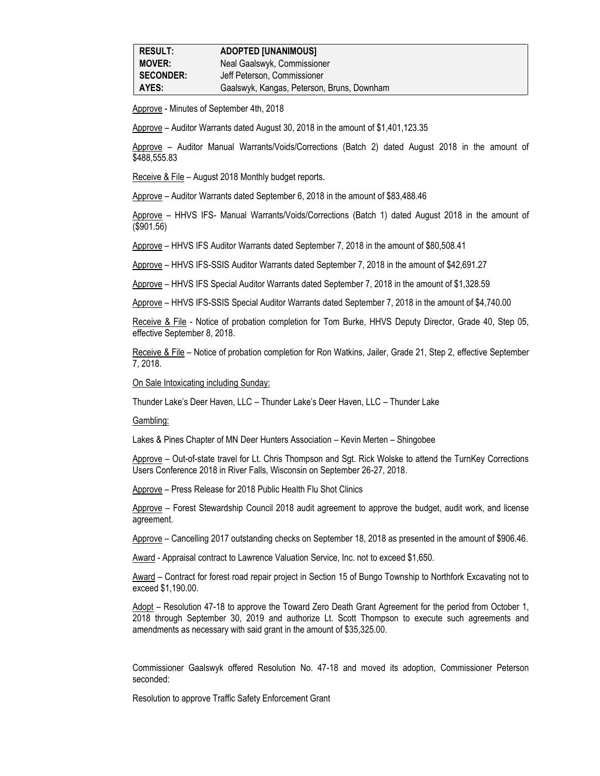| <b>RESULT:</b>   | <b>ADOPTED [UNANIMOUS]</b>                 |
|------------------|--------------------------------------------|
| <b>MOVER:</b>    | Neal Gaalswyk, Commissioner                |
| <b>SECONDER:</b> | Jeff Peterson, Commissioner                |
| AYES:            | Gaalswyk, Kangas, Peterson, Bruns, Downham |

Approve - Minutes of September 4th, 2018

Approve – Auditor Warrants dated August 30, 2018 in the amount of \$1,401,123.35

Approve – Auditor Manual Warrants/Voids/Corrections (Batch 2) dated August 2018 in the amount of \$488,555.83

Receive & File – August 2018 Monthly budget reports.

Approve – Auditor Warrants dated September 6, 2018 in the amount of \$83,488.46

Approve – HHVS IFS- Manual Warrants/Voids/Corrections (Batch 1) dated August 2018 in the amount of (\$901.56)

Approve – HHVS IFS Auditor Warrants dated September 7, 2018 in the amount of \$80,508.41

Approve – HHVS IFS-SSIS Auditor Warrants dated September 7, 2018 in the amount of \$42,691.27

Approve – HHVS IFS Special Auditor Warrants dated September 7, 2018 in the amount of \$1,328.59

Approve – HHVS IFS-SSIS Special Auditor Warrants dated September 7, 2018 in the amount of \$4,740.00

Receive & File - Notice of probation completion for Tom Burke, HHVS Deputy Director, Grade 40, Step 05, effective September 8, 2018.

Receive & File – Notice of probation completion for Ron Watkins, Jailer, Grade 21, Step 2, effective September 7, 2018.

On Sale Intoxicating including Sunday:

Thunder Lake's Deer Haven, LLC – Thunder Lake's Deer Haven, LLC – Thunder Lake

Gambling:

Lakes & Pines Chapter of MN Deer Hunters Association – Kevin Merten – Shingobee

Approve – Out-of-state travel for Lt. Chris Thompson and Sgt. Rick Wolske to attend the TurnKey Corrections Users Conference 2018 in River Falls, Wisconsin on September 26-27, 2018.

Approve – Press Release for 2018 Public Health Flu Shot Clinics

Approve – Forest Stewardship Council 2018 audit agreement to approve the budget, audit work, and license agreement.

Approve – Cancelling 2017 outstanding checks on September 18, 2018 as presented in the amount of \$906.46.

Award - Appraisal contract to Lawrence Valuation Service, Inc. not to exceed \$1,650.

Award – Contract for forest road repair project in Section 15 of Bungo Township to Northfork Excavating not to exceed \$1,190.00.

Adopt – Resolution 47-18 to approve the Toward Zero Death Grant Agreement for the period from October 1, 2018 through September 30, 2019 and authorize Lt. Scott Thompson to execute such agreements and amendments as necessary with said grant in the amount of \$35,325.00.

Commissioner Gaalswyk offered Resolution No. 47-18 and moved its adoption, Commissioner Peterson seconded:

Resolution to approve Traffic Safety Enforcement Grant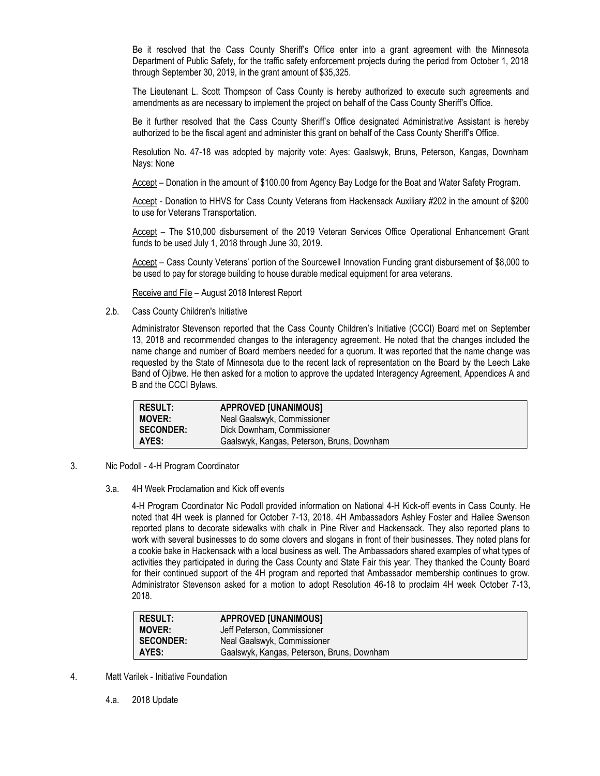Be it resolved that the Cass County Sheriff's Office enter into a grant agreement with the Minnesota Department of Public Safety, for the traffic safety enforcement projects during the period from October 1, 2018 through September 30, 2019, in the grant amount of \$35,325.

The Lieutenant L. Scott Thompson of Cass County is hereby authorized to execute such agreements and amendments as are necessary to implement the project on behalf of the Cass County Sheriff's Office.

Be it further resolved that the Cass County Sheriff's Office designated Administrative Assistant is hereby authorized to be the fiscal agent and administer this grant on behalf of the Cass County Sheriff's Office.

Resolution No. 47-18 was adopted by majority vote: Ayes: Gaalswyk, Bruns, Peterson, Kangas, Downham Nays: None

Accept – Donation in the amount of \$100.00 from Agency Bay Lodge for the Boat and Water Safety Program.

Accept - Donation to HHVS for Cass County Veterans from Hackensack Auxiliary #202 in the amount of \$200 to use for Veterans Transportation.

Accept – The \$10,000 disbursement of the 2019 Veteran Services Office Operational Enhancement Grant funds to be used July 1, 2018 through June 30, 2019.

Accept – Cass County Veterans' portion of the Sourcewell Innovation Funding grant disbursement of \$8,000 to be used to pay for storage building to house durable medical equipment for area veterans.

Receive and File – August 2018 Interest Report

2.b. Cass County Children's Initiative

Administrator Stevenson reported that the Cass County Children's Initiative (CCCI) Board met on September 13, 2018 and recommended changes to the interagency agreement. He noted that the changes included the name change and number of Board members needed for a quorum. It was reported that the name change was requested by the State of Minnesota due to the recent lack of representation on the Board by the Leech Lake Band of Ojibwe. He then asked for a motion to approve the updated Interagency Agreement, Appendices A and B and the CCCI Bylaws.

| <b>RESULT:</b>   | <b>APPROVED [UNANIMOUS]</b>                |
|------------------|--------------------------------------------|
| <b>MOVER:</b>    | Neal Gaalswyk, Commissioner                |
| <b>SECONDER:</b> | Dick Downham, Commissioner                 |
| AYES:            | Gaalswyk, Kangas, Peterson, Bruns, Downham |

- 3. Nic Podoll 4-H Program Coordinator
	- 3.a. 4H Week Proclamation and Kick off events

4-H Program Coordinator Nic Podoll provided information on National 4-H Kick-off events in Cass County. He noted that 4H week is planned for October 7-13, 2018. 4H Ambassadors Ashley Foster and Hailee Swenson reported plans to decorate sidewalks with chalk in Pine River and Hackensack. They also reported plans to work with several businesses to do some clovers and slogans in front of their businesses. They noted plans for a cookie bake in Hackensack with a local business as well. The Ambassadors shared examples of what types of activities they participated in during the Cass County and State Fair this year. They thanked the County Board for their continued support of the 4H program and reported that Ambassador membership continues to grow. Administrator Stevenson asked for a motion to adopt Resolution 46-18 to proclaim 4H week October 7-13, 2018.

| <b>RESULT:</b>   | <b>APPROVED [UNANIMOUS]</b>                |
|------------------|--------------------------------------------|
| <b>MOVER:</b>    | Jeff Peterson, Commissioner                |
| <b>SECONDER:</b> | Neal Gaalswyk, Commissioner                |
| AYES:            | Gaalswyk, Kangas, Peterson, Bruns, Downham |

- 4. Matt Varilek Initiative Foundation
	- 4.a. 2018 Update